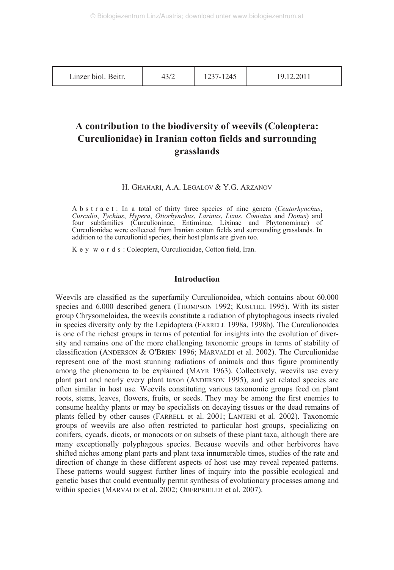Linzer biol. Beitr. 1 43/2 1237-1245 19.12.2011

# **A contribution to the biodiversity of weevils (Coleoptera: Curculionidae) in Iranian cotton fields and surrounding grasslands**

# H. GHAHARI, A.A. LEGALOV & Y.G. ARZANOV

Abstract: In a total of thirty three species of nine genera (*Ceutorhynchus*, *Curculio*, *Tychius*, *Hypera*, *Otiorhynchus*, *Larinus*, *Lixus*, *Coniatus* and *Donus*) and four subfamilies (Curculioninae, Entiminae, Lixinae and Phytonominae) of Curculionidae were collected from Iranian cotton fields and surrounding grasslands. In addition to the curculionid species, their host plants are given too.

Key words: Coleoptera, Curculionidae, Cotton field, Iran.

# **Introduction**

Weevils are classified as the superfamily Curculionoidea, which contains about 60.000 species and 6.000 described genera (THOMPSON 1992; KUSCHEL 1995). With its sister group Chrysomeloidea, the weevils constitute a radiation of phytophagous insects rivaled in species diversity only by the Lepidoptera (FARRELL 1998a, 1998b). The Curculionoidea is one of the richest groups in terms of potential for insights into the evolution of diversity and remains one of the more challenging taxonomic groups in terms of stability of classification (ANDERSON & O'BRIEN 1996; MARVALDI et al. 2002). The Curculionidae represent one of the most stunning radiations of animals and thus figure prominently among the phenomena to be explained (MAYR 1963). Collectively, weevils use every plant part and nearly every plant taxon (ANDERSON 1995), and yet related species are often similar in host use. Weevils constituting various taxonomic groups feed on plant roots, stems, leaves, flowers, fruits, or seeds. They may be among the first enemies to consume healthy plants or may be specialists on decaying tissues or the dead remains of plants felled by other causes (FARRELL et al. 2001; LANTERI et al. 2002). Taxonomic groups of weevils are also often restricted to particular host groups, specializing on conifers, cycads, dicots, or monocots or on subsets of these plant taxa, although there are many exceptionally polyphagous species. Because weevils and other herbivores have shifted niches among plant parts and plant taxa innumerable times, studies of the rate and direction of change in these different aspects of host use may reveal repeated patterns. These patterns would suggest further lines of inquiry into the possible ecological and genetic bases that could eventually permit synthesis of evolutionary processes among and within species (MARVALDI et al. 2002; OBERPRIELER et al. 2007).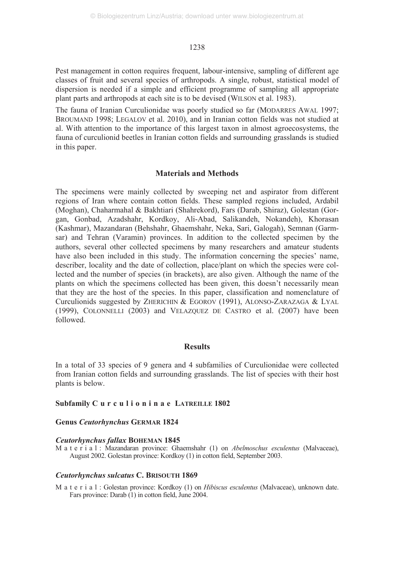Pest management in cotton requires frequent, labour-intensive, sampling of different age classes of fruit and several species of arthropods. A single, robust, statistical model of dispersion is needed if a simple and efficient programme of sampling all appropriate plant parts and arthropods at each site is to be devised (WILSON et al. 1983).

The fauna of Iranian Curculionidae was poorly studied so far (MODARRES AWAL 1997; BROUMAND 1998; LEGALOV et al. 2010), and in Iranian cotton fields was not studied at al. With attention to the importance of this largest taxon in almost agroecosystems, the fauna of curculionid beetles in Iranian cotton fields and surrounding grasslands is studied in this paper.

# **Materials and Methods**

The specimens were mainly collected by sweeping net and aspirator from different regions of Iran where contain cotton fields. These sampled regions included, Ardabil (Moghan), Chaharmahal & Bakhtiari (Shahrekord), Fars (Darab, Shiraz), Golestan (Gorgan, Gonbad, Azadshahr, Kordkoy, Ali-Abad, Salikandeh, Nokandeh), Khorasan (Kashmar), Mazandaran (Behshahr, Ghaemshahr, Neka, Sari, Galogah), Semnan (Garmsar) and Tehran (Varamin) provinces. In addition to the collected specimen by the authors, several other collected specimens by many researchers and amateur students have also been included in this study. The information concerning the species' name, describer, locality and the date of collection, place/plant on which the species were collected and the number of species (in brackets), are also given. Although the name of the plants on which the specimens collected has been given, this doesn't necessarily mean that they are the host of the species. In this paper, classification and nomenclature of Curculionids suggested by ZHERICHIN & EGOROV (1991), ALONSO-ZARAZAGA & LYAL (1999), COLONNELLI (2003) and VELAZQUEZ DE CASTRO et al. (2007) have been followed.

# **Results**

In a total of 33 species of 9 genera and 4 subfamilies of Curculionidae were collected from Iranian cotton fields and surrounding grasslands. The list of species with their host plants is below.

# **Subfamily Curculioninae LATREILLE 1802**

# **Genus** *Ceutorhynchus* **GERMAR 1824**

#### *Ceutorhynchus fallax* **BOHEMAN 1845**

M a t e r i a l : Mazandaran province: Ghaemshahr (1) on *Abelmoschus esculentus* (Malvaceae), August 2002. Golestan province: Kordkoy (1) in cotton field, September 2003.

#### *Ceutorhynchus sulcatus* **C. BRISOUTH 1869**

M a t e r i a l : Golestan province: Kordkoy (1) on *Hibiscus esculentus* (Malvaceae), unknown date. Fars province: Darab (1) in cotton field, June 2004.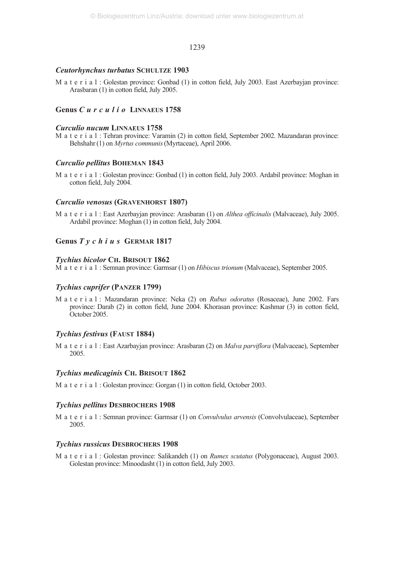#### *Ceutorhynchus turbatus* **SCHULTZE 1903**

M a t e r i a l : Golestan province: Gonbad (1) in cotton field, July 2003. East Azerbayjan province: Arasbaran (1) in cotton field, July 2005.

# **Genus** *Curculio* **LINNAEUS 1758**

## *Curculio nucum* **LINNAEUS 1758**

M a t e r i a l : Tehran province: Varamin (2) in cotton field, September 2002. Mazandaran province: Behshahr(1) on *Myrtus communis*(Myrtaceae), April 2006.

#### *Curculio pellitus* **BOHEMAN 1843**

M a t e r i a l : Golestan province: Gonbad (1) in cotton field, July 2003. Ardabil province: Moghan in cotton field, July 2004.

#### *Curculio venosus* **(GRAVENHORST 1807)**

M a t e r i a l : East Azerbayjan province: Arasbaran (1) on *Althea officinalis* (Malvaceae), July 2005. Ardabil province: Moghan (1) in cotton field, July 2004.

# **Genus** *Tychius* **GERMAR 1817**

#### *Tychius bicolor* **CH. BRISOUT 1862**

M a t e r i a l : Semnan province: Garmsar (1) on *Hibiscus trionum* (Malvaceae), September 2005.

# *Tychius cuprifer* **(PANZER 1799)**

M a t e r i a l : Mazandaran province: Neka (2) on *Rubus odoratus* (Rosaceae), June 2002. Fars province: Darab (2) in cotton field, June 2004. Khorasan province: Kashmar (3) in cotton field, October 2005.

#### *Tychius festivus* **(FAUST 1884)**

M a t e r i a l : East Azarbayjan province: Arasbaran (2) on *Malva parviflora* (Malvaceae), September 2005.

#### *Tychius medicaginis* **CH. BRISOUT 1862**

M a t e r i a l : Golestan province: Gorgan (1) in cotton field, October 2003.

#### *Tychius pellitus* **DESBROCHERS 1908**

M a t e r i a l : Semnan province: Garmsar (1) on *Convulvulus arvensis* (Convolvulaceae), September 2005.

#### *Tychius russicus* **DESBROCHERS 1908**

M a t e r i a l : Golestan province: Salikandeh (1) on *Rumex scutatus* (Polygonaceae), August 2003. Golestan province: Minoodasht (1) in cotton field, July 2003.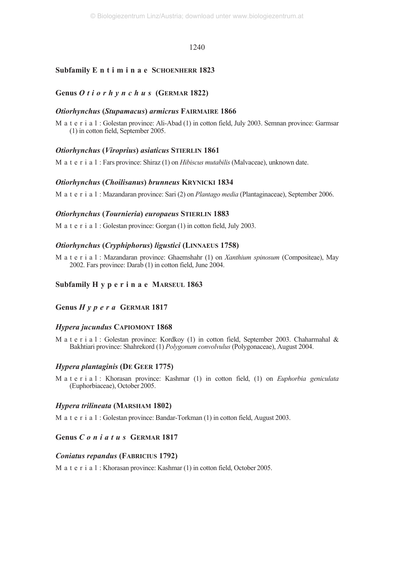# **Subfamily E n t i m i n a e SCHOENHERR 1823**

# **Genus** *Otiorhynchus* **(GERMAR 1822)**

# *Otiorhynchus* **(***Stupamacus***)** *armicrus* **FAIRMAIRE 1866**

M a t e r i a l : Golestan province: Ali-Abad (1) in cotton field, July 2003. Semnan province: Garmsar (1) in cotton field, September 2005.

# *Otiorhynchus* **(***Viroprius***)** *asiaticus* **STIERLIN 1861**

M a t e r i a l : Fars province: Shiraz (1) on *Hibiscus mutabilis* (Malvaceae), unknown date.

# *Otiorhynchus* **(***Choilisanus***)** *brunneus* **KRYNICKI 1834**

M a t e r i a l : Mazandaran province: Sari (2) on *Plantago media* (Plantaginaceae), September 2006.

# *Otiorhynchus* **(***Tournieria***)** *europaeus* **STIERLIN 1883**

M a t e r i a l : Golestan province: Gorgan (1) in cotton field, July 2003.

# *Otiorhynchus* **(***Cryphiphorus***)** *ligustici* **(LINNAEUS 1758)**

M a t e r i a l : Mazandaran province: Ghaemshahr (1) on *Xanthium spinosum* (Compositeae), May 2002. Fars province: Darab (1) in cotton field, June 2004.

# **Subfamily H y p e r i n a e MARSEUL 1863**

# **Genus** *Hypera* **GERMAR 1817**

# *Hypera jucundus* **CAPIOMONT 1868**

M a t e r i a l : Golestan province: Kordkoy (1) in cotton field, September 2003. Chaharmahal & Bakhtiari province: Shahrekord (1) *Polygonum convolvulus* (Polygonaceae), August 2004.

#### *Hypera plantaginis* **(DE GEER 1775)**

M a t e r i a l : Khorasan province: Kashmar (1) in cotton field, (1) on *Euphorbia geniculata* (Euphorbiaceae), October 2005.

# *Hypera trilineata* **(MARSHAM 1802)**

M a t e r i a l : Golestan province: Bandar-Torkman (1) in cotton field, August 2003.

# **Genus** *Coniatus* **GERMAR 1817**

# *Coniatus repandus* **(FABRICIUS 1792)**

M a t e r i a l : Khorasan province: Kashmar (1) in cotton field, October 2005.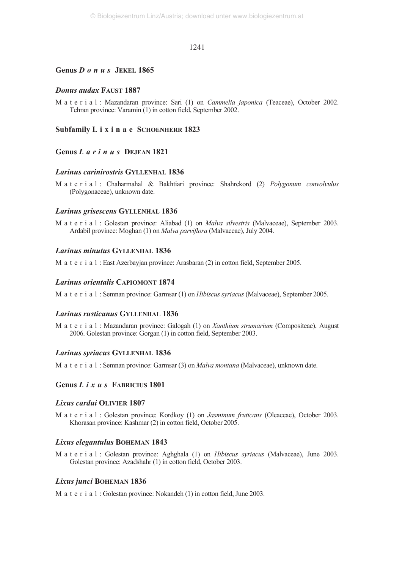## **Genus** *Donus* **JEKEL 1865**

# *Donus audax* **FAUST 1887**

M a t e r i a l : Mazandaran province: Sari (1) on *Cammelia japonica* (Teaceae), October 2002. Tehran province: Varamin (1) in cotton field, September 2002.

**Subfamily L i x i n a e SCHOENHERR 1823**

# **Genus** *Larinus* **DEJEAN 1821**

# *Larinus carinirostris* **GYLLENHAL 1836**

M a t e r i a l : Chaharmahal & Bakhtiari province: Shahrekord (2) *Polygonum convolvulus* (Polygonaceae), unknown date.

#### *Larinus grisescens* **GYLLENHAL 1836**

M a t e r i a l : Golestan province: Aliabad (1) on *Malva silvestris* (Malvaceae), September 2003. Ardabil province: Moghan (1) on *Malva parviflora* (Malvaceae), July 2004.

# *Larinus minutus* **GYLLENHAL 1836**

M a t e r i a l : East Azerbayjan province: Arasbaran (2) in cotton field, September 2005.

# *Larinus orientalis* **CAPIOMONT 1874**

M a t e r i a l : Semnan province: Garmsar (1) on *Hibiscus syriacus* (Malvaceae), September 2005.

#### *Larinus rusticanus* **GYLLENHAL 1836**

M a t e r i a l : Mazandaran province: Galogah (1) on *Xanthium strumarium* (Compositeae), August 2006. Golestan province: Gorgan (1) in cotton field, September 2003.

#### *Larinus syriacus* **GYLLENHAL 1836**

M a t e r i a l : Semnan province: Garmsar (3) on *Malva montana* (Malvaceae), unknown date.

# **Genus** *Lixus* **FABRICIUS 1801**

#### *Lixus cardui* **OLIVIER 1807**

M a t e r i a l : Golestan province: Kordkoy (1) on *Jasminum fruticans* (Oleaceae), October 2003. Khorasan province: Kashmar (2) in cotton field, October 2005.

# *Lixus elegantulus* **BOHEMAN 1843**

M a t e r i a l : Golestan province: Aghghala (1) on *Hibiscus syriacus* (Malvaceae), June 2003. Golestan province: Azadshahr (1) in cotton field, October 2003.

#### *Lixus junci* **BOHEMAN 1836**

M a t e r i a l : Golestan province: Nokandeh (1) in cotton field, June 2003.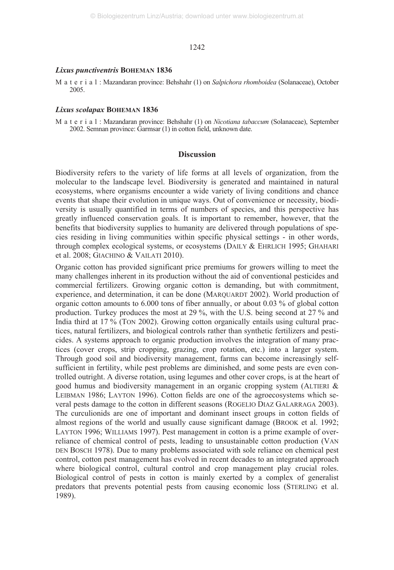#### *Lixus punctiventris* **BOHEMAN 1836**

M a t e r i a l : Mazandaran province: Behshahr (1) on *Salpichora rhomboidea* (Solanaceae), October 2005.

#### *Lixus scolapax* **BOHEMAN 1836**

M a t e r i a l : Mazandaran province: Behshahr (1) on *Nicotiana tabaccum* (Solanaceae), September 2002. Semnan province: Garmsar (1) in cotton field, unknown date.

# **Discussion**

Biodiversity refers to the variety of life forms at all levels of organization, from the molecular to the landscape level. Biodiversity is generated and maintained in natural ecosystems, where organisms encounter a wide variety of living conditions and chance events that shape their evolution in unique ways. Out of convenience or necessity, biodiversity is usually quantified in terms of numbers of species, and this perspective has greatly influenced conservation goals. It is important to remember, however, that the benefits that biodiversity supplies to humanity are delivered through populations of species residing in living communities within specific physical settings - in other words, through complex ecological systems, or ecosystems (DAILY & EHRLICH 1995; GHAHARI et al. 2008; GIACHINO & VAILATI 2010).

Organic cotton has provided significant price premiums for growers willing to meet the many challenges inherent in its production without the aid of conventional pesticides and commercial fertilizers. Growing organic cotton is demanding, but with commitment, experience, and determination, it can be done (MARQUARDT 2002). World production of organic cotton amounts to 6.000 tons of fiber annually, or about 0.03 % of global cotton production. Turkey produces the most at 29 %, with the U.S. being second at 27 % and India third at 17 % (TON 2002). Growing cotton organically entails using cultural practices, natural fertilizers, and biological controls rather than synthetic fertilizers and pesticides. A systems approach to organic production involves the integration of many practices (cover crops, strip cropping, grazing, crop rotation, etc.) into a larger system. Through good soil and biodiversity management, farms can become increasingly selfsufficient in fertility, while pest problems are diminished, and some pests are even controlled outright. A diverse rotation, using legumes and other cover crops, is at the heart of good humus and biodiversity management in an organic cropping system (ALTIERI & LEIBMAN 1986; LAYTON 1996). Cotton fields are one of the agroecosystems which several pests damage to the cotton in different seasons (ROGELIO DIAZ GALARRAGA 2003). The curculionids are one of important and dominant insect groups in cotton fields of almost regions of the world and usually cause significant damage (BROOK et al. 1992; LAYTON 1996; WILLIAMS 1997). Pest management in cotton is a prime example of overreliance of chemical control of pests, leading to unsustainable cotton production (VAN DEN BOSCH 1978). Due to many problems associated with sole reliance on chemical pest control, cotton pest management has evolved in recent decades to an integrated approach where biological control, cultural control and crop management play crucial roles. Biological control of pests in cotton is mainly exerted by a complex of generalist predators that prevents potential pests from causing economic loss (STERLING et al. 1989).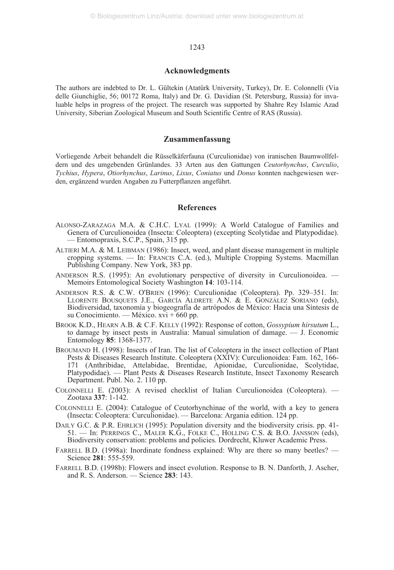## **Acknowledgments**

The authors are indebted to Dr. L. Gültekin (Atatürk University, Turkey), Dr. E. Colonnelli (Via delle Giunchiglie, 56; 00172 Roma, Italy) and Dr. G. Davidian (St. Petersburg, Russia) for invaluable helps in progress of the project. The research was supported by Shahre Rey Islamic Azad University, Siberian Zoological Museum and South Scientific Centre of RAS (Russia).

# **Zusammenfassung**

Vorliegende Arbeit behandelt die Rüsselkäferfauna (Curculionidae) von iranischen Baumwollfeldern und des umgebenden Grünlandes. 33 Arten aus den Gattungen *Ceutorhynchus*, *Curculio*, *Tychius*, *Hypera*, *Otiorhynchus*, *Larinus*, *Lixus*, *Coniatus* und *Donus* konnten nachgewiesen werden, ergänzend wurden Angaben zu Futterpflanzen angeführt.

# **References**

- ALONSO-ZARAZAGA M.A. & C.H.C. LYAL (1999): A World Catalogue of Families and Genera of Curculionoidea (Insecta: Coleoptera) (excepting Scolytidae and Platypodidae). — Entomopraxis, S.C.P., Spain, 315 pp.
- ALTIERI M.A. & M. LEIBMAN (1986): Insect, weed, and plant disease management in multiple cropping systems. — In: FRANCIS C.A. (ed.), Multiple Cropping Systems. Macmillan Publishing Company. New York, 383 pp.
- ANDERSON R.S. (1995): An evolutionary perspective of diversity in Curculionoidea. Memoirs Entomological Society Washington **14**: 103-114.
- ANDERSON R.S. & C.W. O'BRIEN (1996): Curculionidae (Coleoptera). Pp. 329–351. In: LLORENTE BOUSQUETS J.E., GARCÍA ALDRETE A.N. & E. GONZÁLEZ SORIANO (eds), Biodiversidad, taxonomía y biogeografía de artrópodos de México: Hacia una Síntesis de su Conocimiento. — México. xvi + 660 pp.
- BROOK K.D., HEARN A.B. & C.F. KELLY (1992): Response of cotton, *Gossypium hirsutum* L., to damage by insect pests in Australia: Manual simulation of damage. — J. Economic Entomology **85**: 1368-1377.
- BROUMAND H. (1998): Insects of Iran. The list of Coleoptera in the insect collection of Plant Pests & Diseases Research Institute. Coleoptera (XXIV): Curculionoidea: Fam. 162, 166- 171 (Anthribidae, Attelabidae, Brentidae, Apionidae, Curculionidae, Scolytidae, Platypodidae). — Plant Pests & Diseases Research Institute, Insect Taxonomy Research Department. Publ. No. 2. 110 pp.
- COLONNELLI E. (2003): A revised checklist of Italian Curculionoidea (Coleoptera). Zootaxa **337**: 1-142.
- COLONNELLI E. (2004): Catalogue of Ceutorhynchinae of the world, with a key to genera (Insecta: Coleoptera: Curculionidae). — Barcelona: Argania edition. 124 pp.
- DAILY G.C. & P.R. EHRLICH (1995): Population diversity and the biodiversity crisis. pp. 41- 51. — In: PERRINGS C., MALER K.G., FOLKE C., HOLLING C.S. & B.O. JANSSON (eds), Biodiversity conservation: problems and policies. Dordrecht, Kluwer Academic Press.
- FARRELL B.D. (1998a): Inordinate fondness explained: Why are there so many beetles? Science **281**: 555-559.
- FARRELL B.D. (1998b): Flowers and insect evolution. Response to B. N. Danforth, J. Ascher, and R. S. Anderson. — Science **283**: 143.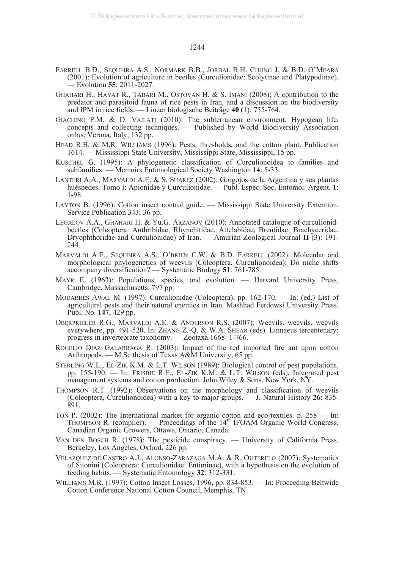- FARRELL B.D., SEQUEIRA A.S., NORMARK B.B., JORDAL B.H. CHUNG J. & B.D. O'MEARA (2001): Evolution of agriculture in beetles (Curculionidae: Scolytinae and Platypodinae). — Evolution **55**: 2011-2027.
- GHAHARI H., HAYAT R., TABARI M., OSTOVAN H. & S. IMANI (2008): A contribution to the predator and parasitoid fauna of rice pests in Iran, and a discussion on the biodiversity and IPM in rice fields. — Linzer biologische Beiträge **40** (1): 735-764.
- GIACHINO P.M. & D. VAILATI (2010): The subterranean environment. Hypogean life, concepts and collecting techniques. — Published by World Biodiversity Association onlus, Verona, Italy, 132 pp.
- HEAD R.B. & M.R. WILLIAMS (1996): Pests, thresholds, and the cotton plant. Publication 1614. — Mississippi State University, Mississippi State, Mississippi, 15 pp.
- KUSCHEL G. (1995): A phylogenetic classification of Curculionoidea to families and subfamilies. — Memoirs Entomological Society Washington **14**: 5-33.
- LANTERI A.A., MARVALDI A.E. & S. SUAREZ (2002): Gorgojos de la Argentina y sus plantas huéspedes. Tomo I: Apionidae y Curculionidae. — Publ. Espec. Soc. Entomol. Argent. **1**: 1-98.
- LAYTON B. (1996): Cotton insect control guide. Mississippi State University Extention. Service Publication 343, 36 pp.
- LEGALOV A.A., GHAHARI H. & Yu.G. ARZANOV (2010): Annotated catalogue of curculionidbeetles (Coleoptera: Anthribidae, Rhynchitidae, Attelabidae, Brentidae, Brachyceridae, Dryophthoridae and Curculionidae) of Iran. — Amurian Zoological Journal **II** (3): 191- 244.
- MARVALDI A.E., SEQUEIRA A.S., O'BRIEN C.W. & B.D. FARRELL (2002): Molecular and morphological phylogenetics of weevils (Coleoptera, Curculionoidea): Do niche shifts accompany diversification? — Systematic Biology **51**: 761-785.
- MAYR E. (1963): Populations, species, and evolution. Harvard University Press, Cambridge, Massachusetts. 797 pp.
- MODARRES AWAL M. (1997): Curculionidae (Coleoptera), pp. 162-170. In: (ed.) List of agricultural pests and their natural enemies in Iran. Mashhad Ferdowsi University Press. Publ. No. **147**, 429 pp.
- OBERPRIELER R.G., MARVALDI A.E. & ANDERSON R.S. (2007): Weevils, weevils, weevils everywhere, pp. 491-520. In: ZHANG Z.-Q. & W.A. SHEAR (eds). Linnaeus tercentenary: progress in invertebrate taxonomy. — Zootaxa 1668: 1-766.
- ROGELIO DIAZ GALARRAGA R. (2003): Impact of the red imported fire ant upon cotton Arthropods. — M.Sc thesis of Texas A&M University, 65 pp.
- STERLING W.L., EL-ZIK K.M. & L.T. WILSON (1989): Biological control of pest populations, pp. 155-190. — In: FRISBIE R.E., EL-ZIK K.M. & L.T. WILSON (eds), Integrated pest management systems and cotton production. John Wiley & Sons. New York, NY.
- THOMPSON R.T. (1992): Observations on the morphology and classification of weevils (Coleoptera, Curculionoidea) with a key to major groups. — J. Natural History **26**: 835- 891.
- TON P.  $(2002)$ : The International market for organic cotton and eco-textiles. p. 258 In: THOMPSON R. (compiler). — Proceedings of the  $14<sup>th</sup>$  IFOAM Organic World Congress. Canadian Organic Growers, Ottawa, Ontario, Canada.
- VAN DEN BOSCH R. (1978): The pesticide conspiracy. University of California Press, Berkeley, Los Angeles, Oxford. 226 pp.
- VELAZQUEZ DE CASTRO A.J., ALONSO-ZARAZAGA M.A. & R. OUTERELO (2007): Systematics of Sitonini (Coleoptera: Curculionidae: Entiminae), with a hypothesis on the evolution of feeding habits. — Systematic Entomology **32**: 312-331.
- WILLIAMS M.R. (1997): Cotton Insect Losses, 1996, pp. 834-853. In: Proceeding Beltwide Cotton Conference National Cotton Council, Memphis, TN.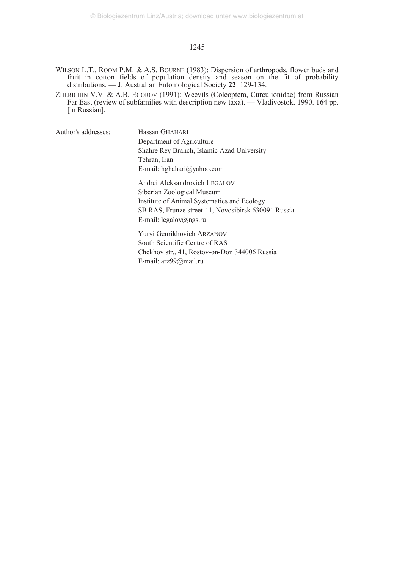- WILSON L.T., ROOM P.M. & A.S. BOURNE (1983): Dispersion of arthropods, flower buds and fruit in cotton fields of population density and season on the fit of probability distributions. — J. Australian Entomological Society **22**: 129-134.
- ZHERICHIN V.V. & A.B. EGOROV (1991): Weevils (Coleoptera, Curculionidae) from Russian Far East (review of subfamilies with description new taxa). — Vladivostok. 1990. 164 pp. [in Russian].

Author's addresses: Hassan GHAHARI

Department of Agriculture Shahre Rey Branch, Islamic Azad University Tehran, Iran E-mail: hghahari@yahoo.com

Andrei Aleksandrovich LEGALOV Siberian Zoological Museum Institute of Animal Systematics and Ecology SB RAS, Frunze street-11, Novosibirsk 630091 Russia E-mail: legalov@ngs.ru

Yuryi Genrikhovich ARZANOV South Scientific Centre of RAS Chekhov str., 41, Rostov-on-Don 344006 Russia E-mail: arz99@mail.ru